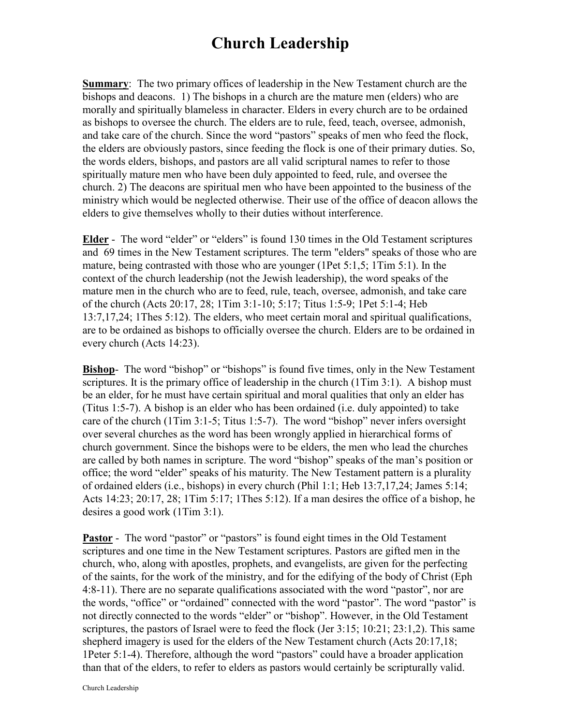## **Church Leadership**

**Summary**: The two primary offices of leadership in the New Testament church are the bishops and deacons. 1) The bishops in a church are the mature men (elders) who are morally and spiritually blameless in character. Elders in every church are to be ordained as bishops to oversee the church. The elders are to rule, feed, teach, oversee, admonish, and take care of the church. Since the word "pastors" speaks of men who feed the flock, the elders are obviously pastors, since feeding the flock is one of their primary duties. So, the words elders, bishops, and pastors are all valid scriptural names to refer to those spiritually mature men who have been duly appointed to feed, rule, and oversee the church. 2) The deacons are spiritual men who have been appointed to the business of the ministry which would be neglected otherwise. Their use of the office of deacon allows the elders to give themselves wholly to their duties without interference.

**Elder** - The word "elder" or "elders" is found 130 times in the Old Testament scriptures and 69 times in the New Testament scriptures. The term "elders" speaks of those who are mature, being contrasted with those who are younger (1Pet 5:1,5; 1Tim 5:1). In the context of the church leadership (not the Jewish leadership), the word speaks of the mature men in the church who are to feed, rule, teach, oversee, admonish, and take care of the church (Acts 20:17, 28; 1Tim 3:1-10; 5:17; Titus 1:5-9; 1Pet 5:1-4; Heb 13:7,17,24; 1Thes 5:12). The elders, who meet certain moral and spiritual qualifications, are to be ordained as bishops to officially oversee the church. Elders are to be ordained in every church (Acts 14:23).

**Bishop**- The word "bishop" or "bishops" is found five times, only in the New Testament scriptures. It is the primary office of leadership in the church (1Tim 3:1). A bishop must be an elder, for he must have certain spiritual and moral qualities that only an elder has (Titus 1:5-7). A bishop is an elder who has been ordained (i.e. duly appointed) to take care of the church (1Tim 3:1-5; Titus 1:5-7). The word "bishop" never infers oversight over several churches as the word has been wrongly applied in hierarchical forms of church government. Since the bishops were to be elders, the men who lead the churches are called by both names in scripture. The word "bishop" speaks of the man's position or office; the word "elder" speaks of his maturity. The New Testament pattern is a plurality of ordained elders (i.e., bishops) in every church (Phil 1:1; Heb 13:7,17,24; James 5:14; Acts 14:23; 20:17, 28; 1Tim 5:17; 1Thes 5:12). If a man desires the office of a bishop, he desires a good work (1Tim 3:1).

**Pastor** - The word "pastor" or "pastors" is found eight times in the Old Testament scriptures and one time in the New Testament scriptures. Pastors are gifted men in the church, who, along with apostles, prophets, and evangelists, are given for the perfecting of the saints, for the work of the ministry, and for the edifying of the body of Christ (Eph 4:8-11). There are no separate qualifications associated with the word "pastor", nor are the words, "office" or "ordained" connected with the word "pastor". The word "pastor" is not directly connected to the words "elder" or "bishop". However, in the Old Testament scriptures, the pastors of Israel were to feed the flock (Jer 3:15; 10:21; 23:1,2). This same shepherd imagery is used for the elders of the New Testament church (Acts 20:17,18; 1Peter 5:1-4). Therefore, although the word "pastors" could have a broader application than that of the elders, to refer to elders as pastors would certainly be scripturally valid.